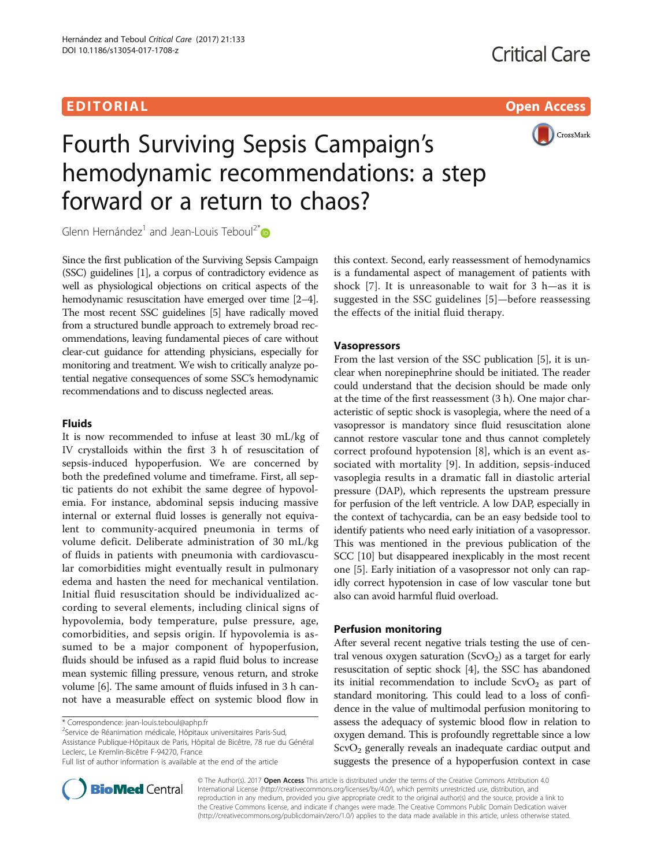# EDI TORIA L Open Access



# Fourth Surviving Sepsis Campaign's hemodynamic recommendations: a step forward or a return to chaos?

Glenn Hernández<sup>1</sup> and Jean-Louis Teboul<sup>2\*</sup>

Since the first publication of the Surviving Sepsis Campaign (SSC) guidelines [[1](#page-1-0)], a corpus of contradictory evidence as well as physiological objections on critical aspects of the hemodynamic resuscitation have emerged over time [\[2](#page-1-0)–[4](#page-1-0)]. The most recent SSC guidelines [\[5\]](#page-1-0) have radically moved from a structured bundle approach to extremely broad recommendations, leaving fundamental pieces of care without clear-cut guidance for attending physicians, especially for monitoring and treatment. We wish to critically analyze potential negative consequences of some SSC's hemodynamic recommendations and to discuss neglected areas.

# Fluids

It is now recommended to infuse at least 30 mL/kg of IV crystalloids within the first 3 h of resuscitation of sepsis-induced hypoperfusion. We are concerned by both the predefined volume and timeframe. First, all septic patients do not exhibit the same degree of hypovolemia. For instance, abdominal sepsis inducing massive internal or external fluid losses is generally not equivalent to community-acquired pneumonia in terms of volume deficit. Deliberate administration of 30 mL/kg of fluids in patients with pneumonia with cardiovascular comorbidities might eventually result in pulmonary edema and hasten the need for mechanical ventilation. Initial fluid resuscitation should be individualized according to several elements, including clinical signs of hypovolemia, body temperature, pulse pressure, age, comorbidities, and sepsis origin. If hypovolemia is assumed to be a major component of hypoperfusion, fluids should be infused as a rapid fluid bolus to increase mean systemic filling pressure, venous return, and stroke volume [\[6\]](#page-1-0). The same amount of fluids infused in 3 h cannot have a measurable effect on systemic blood flow in

 $2$ Service de Réanimation médicale, Hôpitaux universitaires Paris-Sud, Assistance Publique-Hôpitaux de Paris, Hôpital de Bicêtre, 78 rue du Général Leclerc, Le Kremlin-Bicêtre F-94270, France

this context. Second, early reassessment of hemodynamics is a fundamental aspect of management of patients with shock [[7\]](#page-1-0). It is unreasonable to wait for 3 h—as it is suggested in the SSC guidelines [[5\]](#page-1-0)—before reassessing the effects of the initial fluid therapy.

# Vasopressors

From the last version of the SSC publication [[5\]](#page-1-0), it is unclear when norepinephrine should be initiated. The reader could understand that the decision should be made only at the time of the first reassessment (3 h). One major characteristic of septic shock is vasoplegia, where the need of a vasopressor is mandatory since fluid resuscitation alone cannot restore vascular tone and thus cannot completely correct profound hypotension [[8\]](#page-1-0), which is an event associated with mortality [[9\]](#page-1-0). In addition, sepsis-induced vasoplegia results in a dramatic fall in diastolic arterial pressure (DAP), which represents the upstream pressure for perfusion of the left ventricle. A low DAP, especially in the context of tachycardia, can be an easy bedside tool to identify patients who need early initiation of a vasopressor. This was mentioned in the previous publication of the SCC [\[10\]](#page-1-0) but disappeared inexplicably in the most recent one [\[5](#page-1-0)]. Early initiation of a vasopressor not only can rapidly correct hypotension in case of low vascular tone but also can avoid harmful fluid overload.

# Perfusion monitoring

After several recent negative trials testing the use of central venous oxygen saturation  $(ScvO<sub>2</sub>)$  as a target for early resuscitation of septic shock [\[4](#page-1-0)], the SSC has abandoned its initial recommendation to include  $ScvO<sub>2</sub>$  as part of standard monitoring. This could lead to a loss of confidence in the value of multimodal perfusion monitoring to assess the adequacy of systemic blood flow in relation to oxygen demand. This is profoundly regrettable since a low  $ScvO<sub>2</sub>$  generally reveals an inadequate cardiac output and suggests the presence of a hypoperfusion context in case



© The Author(s). 2017 Open Access This article is distributed under the terms of the Creative Commons Attribution 4.0 International License [\(http://creativecommons.org/licenses/by/4.0/](http://creativecommons.org/licenses/by/4.0/)), which permits unrestricted use, distribution, and reproduction in any medium, provided you give appropriate credit to the original author(s) and the source, provide a link to the Creative Commons license, and indicate if changes were made. The Creative Commons Public Domain Dedication waiver [\(http://creativecommons.org/publicdomain/zero/1.0/](http://creativecommons.org/publicdomain/zero/1.0/)) applies to the data made available in this article, unless otherwise stated.

<sup>\*</sup> Correspondence: [jean-louis.teboul@aphp.fr](mailto:jean-louis.teboul@aphp.fr) <sup>2</sup>

Full list of author information is available at the end of the article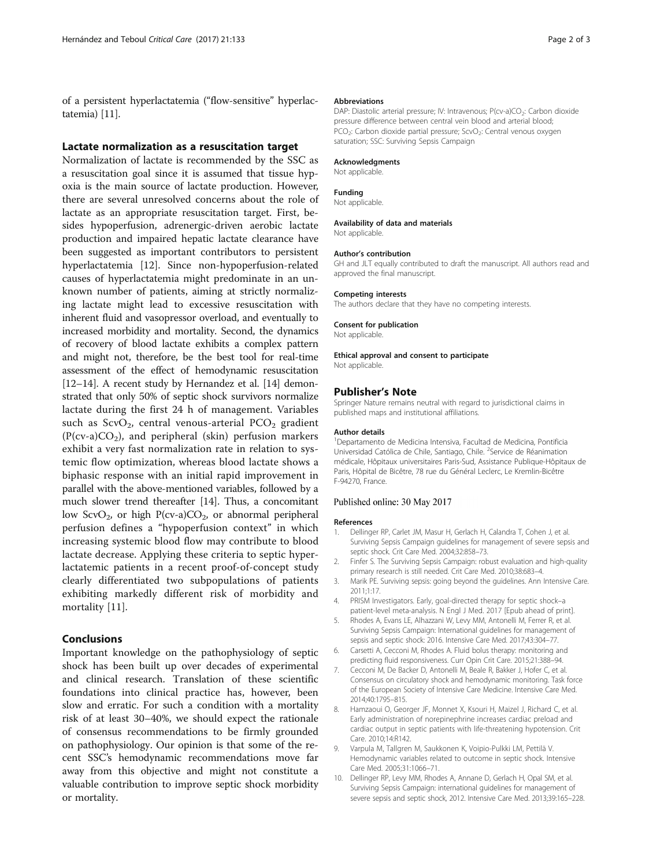<span id="page-1-0"></span>of a persistent hyperlactatemia ("flow-sensitive" hyperlactatemia) [\[11\]](#page-2-0).

## Lactate normalization as a resuscitation target

Normalization of lactate is recommended by the SSC as a resuscitation goal since it is assumed that tissue hypoxia is the main source of lactate production. However, there are several unresolved concerns about the role of lactate as an appropriate resuscitation target. First, besides hypoperfusion, adrenergic-driven aerobic lactate production and impaired hepatic lactate clearance have been suggested as important contributors to persistent hyperlactatemia [\[12\]](#page-2-0). Since non-hypoperfusion-related causes of hyperlactatemia might predominate in an unknown number of patients, aiming at strictly normalizing lactate might lead to excessive resuscitation with inherent fluid and vasopressor overload, and eventually to increased morbidity and mortality. Second, the dynamics of recovery of blood lactate exhibits a complex pattern and might not, therefore, be the best tool for real-time assessment of the effect of hemodynamic resuscitation [[12](#page-2-0)–[14\]](#page-2-0). A recent study by Hernandez et al. [\[14\]](#page-2-0) demonstrated that only 50% of septic shock survivors normalize lactate during the first 24 h of management. Variables such as  $ScvO<sub>2</sub>$ , central venous-arterial PCO<sub>2</sub> gradient  $(P(cv-a)CO<sub>2</sub>)$ , and peripheral (skin) perfusion markers exhibit a very fast normalization rate in relation to systemic flow optimization, whereas blood lactate shows a biphasic response with an initial rapid improvement in parallel with the above-mentioned variables, followed by a much slower trend thereafter [\[14](#page-2-0)]. Thus, a concomitant low ScvO<sub>2</sub>, or high  $P(cv-a)CO_2$ , or abnormal peripheral perfusion defines a "hypoperfusion context" in which increasing systemic blood flow may contribute to blood lactate decrease. Applying these criteria to septic hyperlactatemic patients in a recent proof-of-concept study clearly differentiated two subpopulations of patients exhibiting markedly different risk of morbidity and mortality [[11\]](#page-2-0).

## Conclusions

Important knowledge on the pathophysiology of septic shock has been built up over decades of experimental and clinical research. Translation of these scientific foundations into clinical practice has, however, been slow and erratic. For such a condition with a mortality risk of at least 30–40%, we should expect the rationale of consensus recommendations to be firmly grounded on pathophysiology. Our opinion is that some of the recent SSC's hemodynamic recommendations move far away from this objective and might not constitute a valuable contribution to improve septic shock morbidity or mortality.

#### Abbreviations

DAP: Diastolic arterial pressure; IV: Intravenous; P(cv-a)CO<sub>2</sub>: Carbon dioxide pressure difference between central vein blood and arterial blood; PCO<sub>2</sub>: Carbon dioxide partial pressure; ScvO<sub>2</sub>: Central venous oxygen saturation; SSC: Surviving Sepsis Campaign

#### Acknowledgments

Not applicable.

## Funding

Not applicable.

#### Availability of data and materials

Not applicable.

#### Author's contribution

GH and JLT equally contributed to draft the manuscript. All authors read and approved the final manuscript.

#### Competing interests

The authors declare that they have no competing interests.

# Consent for publication

Not applicable.

#### Ethical approval and consent to participate

Not applicable.

## Publisher's Note

Springer Nature remains neutral with regard to jurisdictional claims in published maps and institutional affiliations.

#### Author details

<sup>1</sup>Departamento de Medicina Intensiva, Facultad de Medicina, Pontificia Universidad Católica de Chile, Santiago, Chile. <sup>2</sup>Service de Réanimation médicale, Hôpitaux universitaires Paris-Sud, Assistance Publique-Hôpitaux de Paris, Hôpital de Bicêtre, 78 rue du Général Leclerc, Le Kremlin-Bicêtre F-94270, France.

## Published online: 30 May 2017

#### References

- 1. Dellinger RP, Carlet JM, Masur H, Gerlach H, Calandra T, Cohen J, et al. Surviving Sepsis Campaign guidelines for management of severe sepsis and septic shock. Crit Care Med. 2004;32:858–73.
- 2. Finfer S. The Surviving Sepsis Campaign: robust evaluation and high-quality primary research is still needed. Crit Care Med. 2010;38:683–4.
- 3. Marik PE. Surviving sepsis: going beyond the guidelines. Ann Intensive Care. 2011;1:17.
- 4. PRISM Investigators. Early, goal-directed therapy for septic shock–a patient-level meta-analysis. N Engl J Med. 2017 [Epub ahead of print].
- 5. Rhodes A, Evans LE, Alhazzani W, Levy MM, Antonelli M, Ferrer R, et al. Surviving Sepsis Campaign: International guidelines for management of sepsis and septic shock: 2016. Intensive Care Med. 2017;43:304–77.
- 6. Carsetti A, Cecconi M, Rhodes A. Fluid bolus therapy: monitoring and predicting fluid responsiveness. Curr Opin Crit Care. 2015;21:388–94.
- 7. Cecconi M, De Backer D, Antonelli M, Beale R, Bakker J, Hofer C, et al. Consensus on circulatory shock and hemodynamic monitoring. Task force of the European Society of Intensive Care Medicine. Intensive Care Med. 2014;40:1795–815.
- Hamzaoui O, Georger JF, Monnet X, Ksouri H, Maizel J, Richard C, et al. Early administration of norepinephrine increases cardiac preload and cardiac output in septic patients with life-threatening hypotension. Crit Care. 2010;14:R142.
- 9. Varpula M, Tallgren M, Saukkonen K, Voipio-Pulkki LM, Pettilä V. Hemodynamic variables related to outcome in septic shock. Intensive Care Med. 2005;31:1066–71.
- 10. Dellinger RP, Levy MM, Rhodes A, Annane D, Gerlach H, Opal SM, et al. Surviving Sepsis Campaign: international guidelines for management of severe sepsis and septic shock, 2012. Intensive Care Med. 2013;39:165–228.